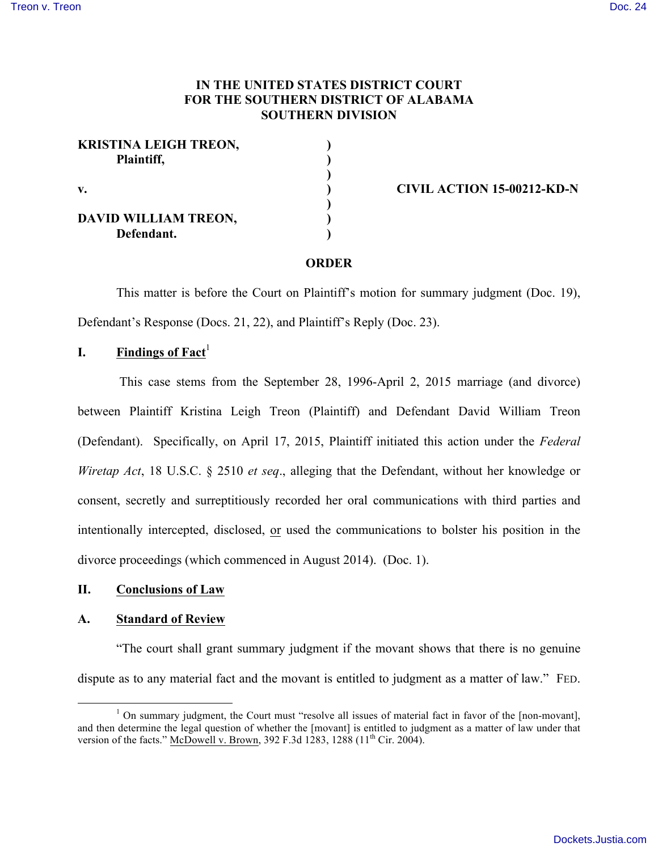# **IN THE UNITED STATES DISTRICT COURT FOR THE SOUTHERN DISTRICT OF ALABAMA SOUTHERN DIVISION**

| <b>KRISTINA LEIGH TREON,</b><br>Plaintiff, |  |
|--------------------------------------------|--|
| v.                                         |  |
| DAVID WILLIAM TREON,<br>Defendant.         |  |

**v. ) CIVIL ACTION 15-00212-KD-N**

#### **ORDER**

This matter is before the Court on Plaintiff's motion for summary judgment (Doc. 19), Defendant's Response (Docs. 21, 22), and Plaintiff's Reply (Doc. 23).

# **I. Findings of Fact**<sup>1</sup>

This case stems from the September 28, 1996-April 2, 2015 marriage (and divorce) between Plaintiff Kristina Leigh Treon (Plaintiff) and Defendant David William Treon (Defendant). Specifically, on April 17, 2015, Plaintiff initiated this action under the *Federal Wiretap Act*, 18 U.S.C. § 2510 *et seq*., alleging that the Defendant, without her knowledge or consent, secretly and surreptitiously recorded her oral communications with third parties and intentionally intercepted, disclosed, or used the communications to bolster his position in the divorce proceedings (which commenced in August 2014). (Doc. 1).

## **II. Conclusions of Law**

#### **A. Standard of Review**

"The court shall grant summary judgment if the movant shows that there is no genuine dispute as to any material fact and the movant is entitled to judgment as a matter of law." FED.

 $1$  On summary judgment, the Court must "resolve all issues of material fact in favor of the [non-movant], and then determine the legal question of whether the [movant] is entitled to judgment as a matter of law under that version of the facts." McDowell v. Brown, 392 F.3d 1283, 1288 (11<sup>th</sup> Cir. 2004).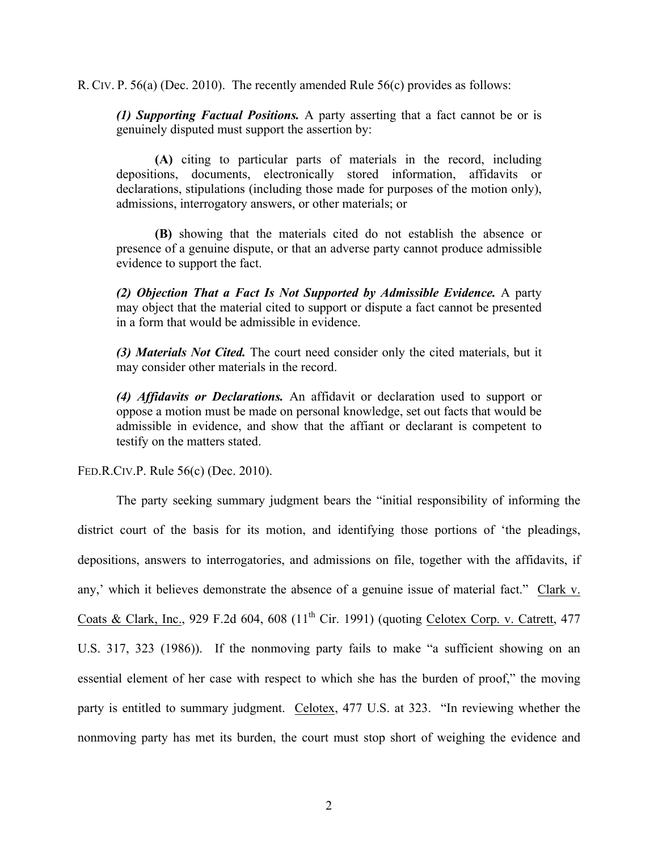R. CIV. P. 56(a) (Dec. 2010). The recently amended Rule 56(c) provides as follows:

*(1) Supporting Factual Positions.* A party asserting that a fact cannot be or is genuinely disputed must support the assertion by:

**(A)** citing to particular parts of materials in the record, including depositions, documents, electronically stored information, affidavits or declarations, stipulations (including those made for purposes of the motion only), admissions, interrogatory answers, or other materials; or

**(B)** showing that the materials cited do not establish the absence or presence of a genuine dispute, or that an adverse party cannot produce admissible evidence to support the fact.

*(2) Objection That a Fact Is Not Supported by Admissible Evidence.* A party may object that the material cited to support or dispute a fact cannot be presented in a form that would be admissible in evidence.

*(3) Materials Not Cited.* The court need consider only the cited materials, but it may consider other materials in the record.

*(4) Affidavits or Declarations.* An affidavit or declaration used to support or oppose a motion must be made on personal knowledge, set out facts that would be admissible in evidence, and show that the affiant or declarant is competent to testify on the matters stated.

FED.R.CIV.P. Rule 56(c) (Dec. 2010).

The party seeking summary judgment bears the "initial responsibility of informing the district court of the basis for its motion, and identifying those portions of 'the pleadings, depositions, answers to interrogatories, and admissions on file, together with the affidavits, if any,' which it believes demonstrate the absence of a genuine issue of material fact." Clark v. Coats & Clark, Inc., 929 F.2d 604, 608 (11<sup>th</sup> Cir. 1991) (quoting Celotex Corp. v. Catrett, 477 U.S. 317, 323 (1986)). If the nonmoving party fails to make "a sufficient showing on an essential element of her case with respect to which she has the burden of proof," the moving party is entitled to summary judgment. Celotex, 477 U.S. at 323. "In reviewing whether the nonmoving party has met its burden, the court must stop short of weighing the evidence and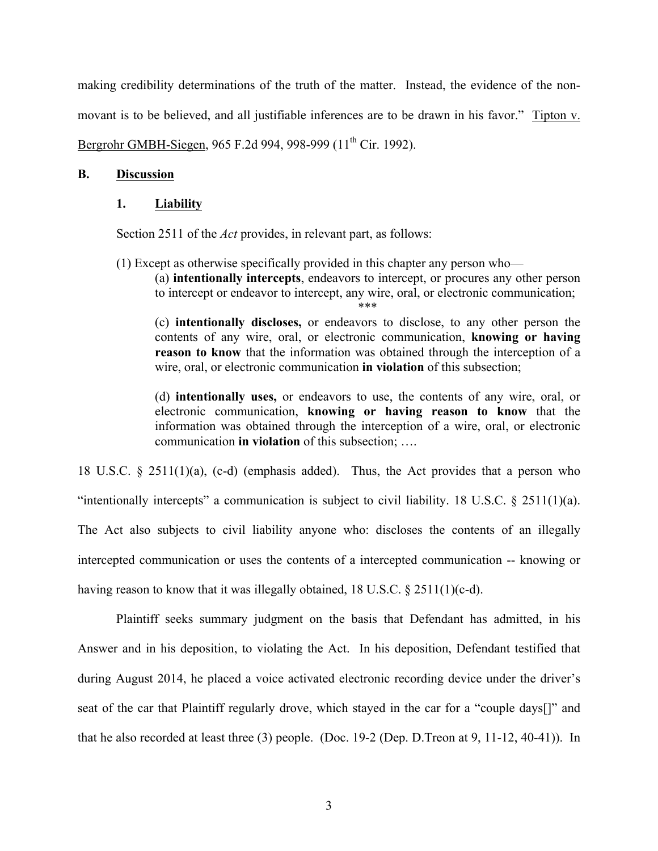making credibility determinations of the truth of the matter. Instead, the evidence of the nonmovant is to be believed, and all justifiable inferences are to be drawn in his favor." Tipton v. Bergrohr GMBH-Siegen, 965 F.2d 994, 998-999 (11<sup>th</sup> Cir. 1992).

## **B. Discussion**

## **1. Liability**

Section 2511 of the *Act* provides, in relevant part, as follows:

(1) Except as otherwise specifically provided in this chapter any person who—

(a) **intentionally intercepts**, endeavors to intercept, or procures any other person to intercept or endeavor to intercept, any wire, oral, or electronic communication; \*\*\*

(c) **intentionally discloses,** or endeavors to disclose, to any other person the contents of any wire, oral, or electronic communication, **knowing or having reason to know** that the information was obtained through the interception of a wire, oral, or electronic communication **in violation** of this subsection;

(d) **intentionally uses,** or endeavors to use, the contents of any wire, oral, or electronic communication, **knowing or having reason to know** that the information was obtained through the interception of a wire, oral, or electronic communication **in violation** of this subsection; ….

18 U.S.C. § 2511(1)(a), (c-d) (emphasis added). Thus, the Act provides that a person who "intentionally intercepts" a communication is subject to civil liability. 18 U.S.C.  $\S$  2511(1)(a). The Act also subjects to civil liability anyone who: discloses the contents of an illegally intercepted communication or uses the contents of a intercepted communication -- knowing or having reason to know that it was illegally obtained, 18 U.S.C.  $\S 2511(1)(c-d)$ .

Plaintiff seeks summary judgment on the basis that Defendant has admitted, in his Answer and in his deposition, to violating the Act. In his deposition, Defendant testified that during August 2014, he placed a voice activated electronic recording device under the driver's seat of the car that Plaintiff regularly drove, which stayed in the car for a "couple days[]" and that he also recorded at least three (3) people. (Doc. 19-2 (Dep. D.Treon at 9, 11-12, 40-41)). In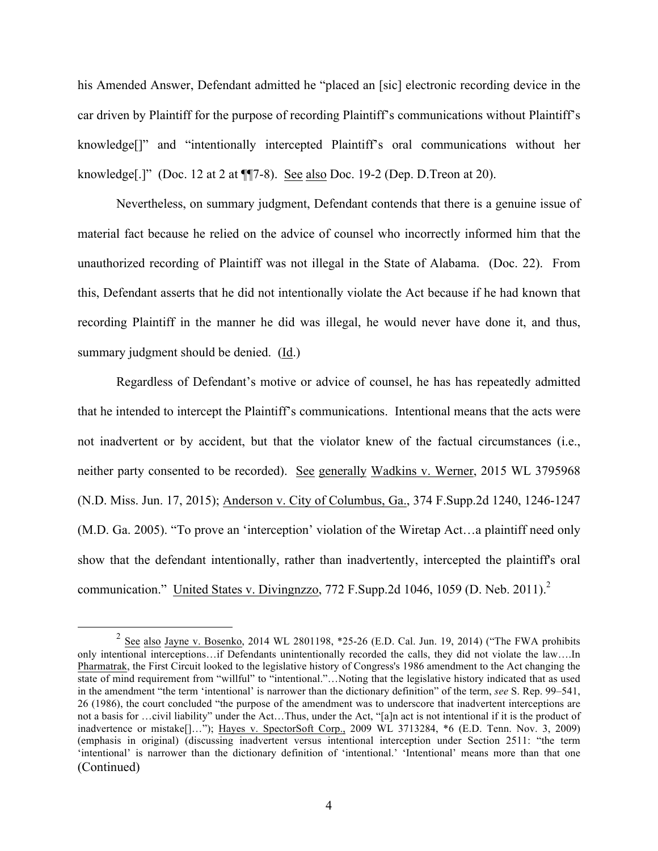his Amended Answer, Defendant admitted he "placed an [sic] electronic recording device in the car driven by Plaintiff for the purpose of recording Plaintiff's communications without Plaintiff's knowledge[]" and "intentionally intercepted Plaintiff's oral communications without her knowledge[.]" (Doc. 12 at 2 at ¶¶7-8). See also Doc. 19-2 (Dep. D.Treon at 20).

Nevertheless, on summary judgment, Defendant contends that there is a genuine issue of material fact because he relied on the advice of counsel who incorrectly informed him that the unauthorized recording of Plaintiff was not illegal in the State of Alabama. (Doc. 22). From this, Defendant asserts that he did not intentionally violate the Act because if he had known that recording Plaintiff in the manner he did was illegal, he would never have done it, and thus, summary judgment should be denied. (Id.)

Regardless of Defendant's motive or advice of counsel, he has has repeatedly admitted that he intended to intercept the Plaintiff's communications. Intentional means that the acts were not inadvertent or by accident, but that the violator knew of the factual circumstances (i.e., neither party consented to be recorded). See generally Wadkins v. Werner, 2015 WL 3795968 (N.D. Miss. Jun. 17, 2015); Anderson v. City of Columbus, Ga., 374 F.Supp.2d 1240, 1246-1247 (M.D. Ga. 2005). "To prove an 'interception' violation of the Wiretap Act…a plaintiff need only show that the defendant intentionally, rather than inadvertently, intercepted the plaintiff's oral communication." United States v. Divingnzzo, 772 F. Supp. 2d 1046, 1059 (D. Neb. 2011).<sup>2</sup>

<sup>&</sup>lt;sup>2</sup> See also Jayne v. Bosenko, 2014 WL 2801198, \*25-26 (E.D. Cal. Jun. 19, 2014) ("The FWA prohibits only intentional interceptions…if Defendants unintentionally recorded the calls, they did not violate the law….In Pharmatrak, the First Circuit looked to the legislative history of Congress's 1986 amendment to the Act changing the state of mind requirement from "willful" to "intentional."…Noting that the legislative history indicated that as used in the amendment "the term 'intentional' is narrower than the dictionary definition" of the term, *see* S. Rep. 99–541, 26 (1986), the court concluded "the purpose of the amendment was to underscore that inadvertent interceptions are not a basis for …civil liability" under the Act…Thus, under the Act, "[a]n act is not intentional if it is the product of inadvertence or mistake[]…"); Hayes v. SpectorSoft Corp., 2009 WL 3713284, \*6 (E.D. Tenn. Nov. 3, 2009) (emphasis in original) (discussing inadvertent versus intentional interception under Section 2511: "the term 'intentional' is narrower than the dictionary definition of 'intentional.' 'Intentional' means more than that one (Continued)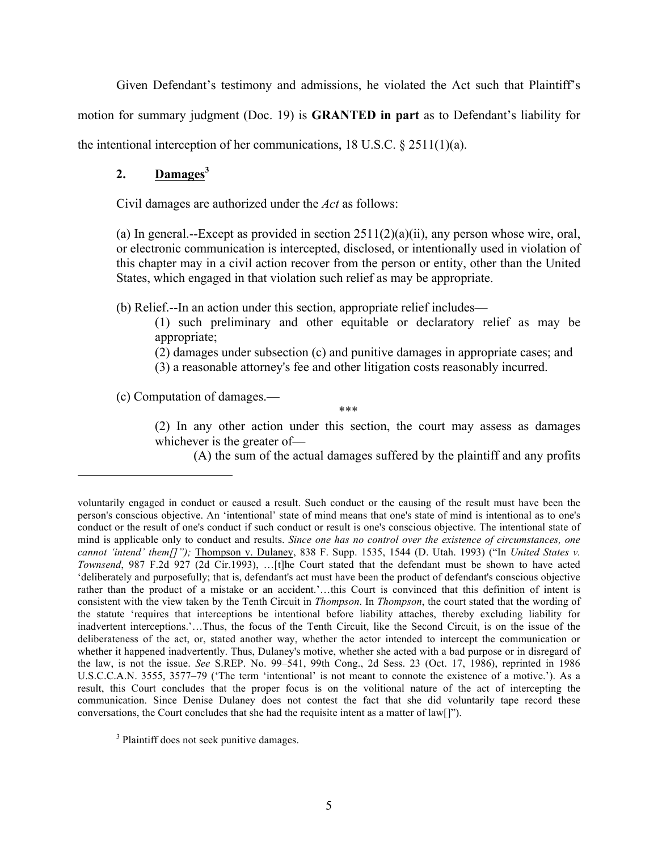Given Defendant's testimony and admissions, he violated the Act such that Plaintiff's

motion for summary judgment (Doc. 19) is **GRANTED in part** as to Defendant's liability for

the intentional interception of her communications, 18 U.S.C. § 2511(1)(a).

# 2. **Damages**<sup>3</sup>

Civil damages are authorized under the *Act* as follows:

(a) In general.--Except as provided in section 2511(2)(a)(ii), any person whose wire, oral, or electronic communication is intercepted, disclosed, or intentionally used in violation of this chapter may in a civil action recover from the person or entity, other than the United States, which engaged in that violation such relief as may be appropriate.

(b) Relief.--In an action under this section, appropriate relief includes—

- (1) such preliminary and other equitable or declaratory relief as may be appropriate;
- (2) damages under subsection (c) and punitive damages in appropriate cases; and
- (3) a reasonable attorney's fee and other litigation costs reasonably incurred.

(c) Computation of damages.—

1

\*\*\*

(2) In any other action under this section, the court may assess as damages whichever is the greater of—

(A) the sum of the actual damages suffered by the plaintiff and any profits

voluntarily engaged in conduct or caused a result. Such conduct or the causing of the result must have been the person's conscious objective. An 'intentional' state of mind means that one's state of mind is intentional as to one's conduct or the result of one's conduct if such conduct or result is one's conscious objective. The intentional state of mind is applicable only to conduct and results. *Since one has no control over the existence of circumstances, one cannot 'intend' them[]");* Thompson v. Dulaney, 838 F. Supp. 1535, 1544 (D. Utah. 1993) ("In *United States v. Townsend*, 987 F.2d 927 (2d Cir.1993), …[t]he Court stated that the defendant must be shown to have acted 'deliberately and purposefully; that is, defendant's act must have been the product of defendant's conscious objective rather than the product of a mistake or an accident.'…this Court is convinced that this definition of intent is consistent with the view taken by the Tenth Circuit in *Thompson*. In *Thompson*, the court stated that the wording of the statute 'requires that interceptions be intentional before liability attaches, thereby excluding liability for inadvertent interceptions.'…Thus, the focus of the Tenth Circuit, like the Second Circuit, is on the issue of the deliberateness of the act, or, stated another way, whether the actor intended to intercept the communication or whether it happened inadvertently. Thus, Dulaney's motive, whether she acted with a bad purpose or in disregard of the law, is not the issue. *See* S.REP. No. 99–541, 99th Cong., 2d Sess. 23 (Oct. 17, 1986), reprinted in 1986 U.S.C.C.A.N. 3555, 3577–79 ('The term 'intentional' is not meant to connote the existence of a motive.'). As a result, this Court concludes that the proper focus is on the volitional nature of the act of intercepting the communication. Since Denise Dulaney does not contest the fact that she did voluntarily tape record these conversations, the Court concludes that she had the requisite intent as a matter of law[]").

<sup>&</sup>lt;sup>3</sup> Plaintiff does not seek punitive damages.